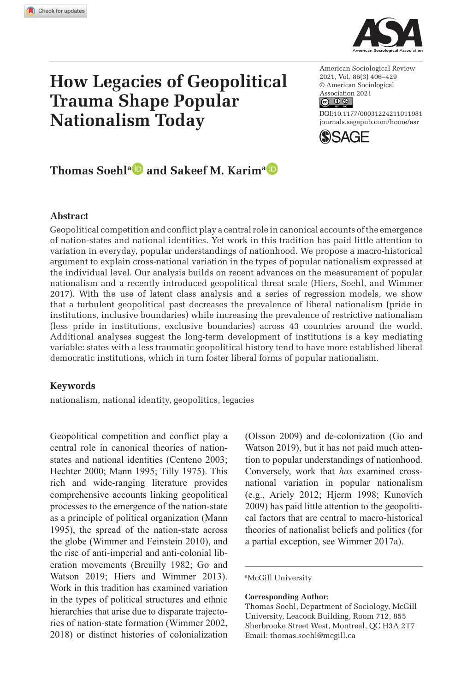**1011[981](http://crossmark.crossref.org/dialog/?doi=10.1177%2F00031224211011981&domain=pdf&date_stamp=2021-05-22)** ASRXXX10.1177/00031224211011981American Sociological ReviewSoehl and Karim



# **How Legacies of Geopolitical Trauma Shape Popular Nationalism Today**

 $6004$ American Sociological Review 2021, Vol. 86(3) 406–429 © American Sociological Association 2021

DOI: 10.1177/00031224211011981 [journals.sagepub.com/home/asr](https://journals.sagepub.com/home/asr)



# **Thomas Soehla and Sakeef M. Karima D**

#### **Abstract**

Geopolitical competition and conflict play a central role in canonical accounts of the emergence of nation-states and national identities. Yet work in this tradition has paid little attention to variation in everyday, popular understandings of nationhood. We propose a macro-historical argument to explain cross-national variation in the types of popular nationalism expressed at the individual level. Our analysis builds on recent advances on the measurement of popular nationalism and a recently introduced geopolitical threat scale (Hiers, Soehl, and Wimmer 2017). With the use of latent class analysis and a series of regression models, we show that a turbulent geopolitical past decreases the prevalence of liberal nationalism (pride in institutions, inclusive boundaries) while increasing the prevalence of restrictive nationalism (less pride in institutions, exclusive boundaries) across 43 countries around the world. Additional analyses suggest the long-term development of institutions is a key mediating variable: states with a less traumatic geopolitical history tend to have more established liberal democratic institutions, which in turn foster liberal forms of popular nationalism.

#### **Keywords**

nationalism, national identity, geopolitics, legacies

Geopolitical competition and conflict play a central role in canonical theories of nationstates and national identities (Centeno 2003; Hechter 2000; Mann 1995; Tilly 1975). This rich and wide-ranging literature provides comprehensive accounts linking geopolitical processes to the emergence of the nation-state as a principle of political organization (Mann 1995), the spread of the nation-state across the globe (Wimmer and Feinstein 2010), and the rise of anti-imperial and anti-colonial liberation movements (Breuilly 1982; Go and Watson 2019; Hiers and Wimmer 2013). Work in this tradition has examined variation in the types of political structures and ethnic hierarchies that arise due to disparate trajectories of nation-state formation (Wimmer 2002, 2018) or distinct histories of colonialization

(Olsson 2009) and de-colonization (Go and Watson 2019), but it has not paid much attention to popular understandings of nationhood. Conversely, work that *has* examined crossnational variation in popular nationalism (e.g., Ariely 2012; Hjerm 1998; Kunovich 2009) has paid little attention to the geopolitical factors that are central to macro-historical theories of nationalist beliefs and politics (for a partial exception, see Wimmer 2017a).

#### a McGill University

#### **Corresponding Author:**

Thomas Soehl, Department of Sociology, McGill University, Leacock Building, Room 712, 855 Sherbrooke Street West, Montreal, QC H3A 2T7 Email: thomas.soehl@mcgill.ca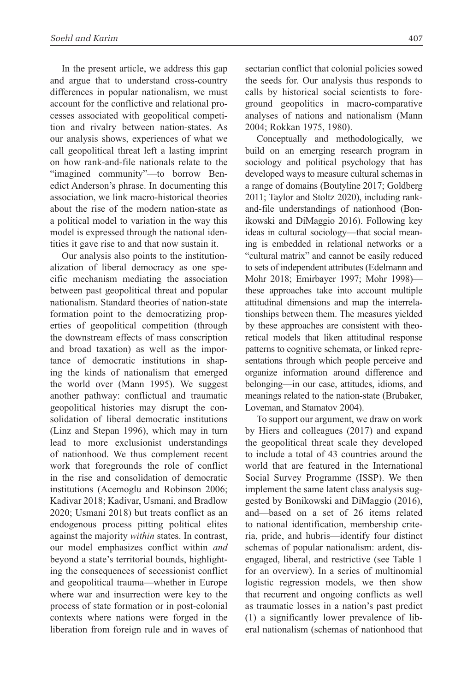In the present article, we address this gap and argue that to understand cross-country differences in popular nationalism, we must account for the conflictive and relational processes associated with geopolitical competition and rivalry between nation-states. As our analysis shows, experiences of what we call geopolitical threat left a lasting imprint on how rank-and-file nationals relate to the "imagined community"—to borrow Benedict Anderson's phrase. In documenting this association, we link macro-historical theories about the rise of the modern nation-state as a political model to variation in the way this model is expressed through the national identities it gave rise to and that now sustain it.

Our analysis also points to the institutionalization of liberal democracy as one specific mechanism mediating the association between past geopolitical threat and popular nationalism. Standard theories of nation-state formation point to the democratizing properties of geopolitical competition (through the downstream effects of mass conscription and broad taxation) as well as the importance of democratic institutions in shaping the kinds of nationalism that emerged the world over (Mann 1995). We suggest another pathway: conflictual and traumatic geopolitical histories may disrupt the consolidation of liberal democratic institutions (Linz and Stepan 1996), which may in turn lead to more exclusionist understandings of nationhood. We thus complement recent work that foregrounds the role of conflict in the rise and consolidation of democratic institutions (Acemoglu and Robinson 2006; Kadivar 2018; Kadivar, Usmani, and Bradlow 2020; Usmani 2018) but treats conflict as an endogenous process pitting political elites against the majority *within* states. In contrast, our model emphasizes conflict within *and* beyond a state's territorial bounds, highlighting the consequences of secessionist conflict and geopolitical trauma—whether in Europe where war and insurrection were key to the process of state formation or in post-colonial contexts where nations were forged in the liberation from foreign rule and in waves of sectarian conflict that colonial policies sowed the seeds for. Our analysis thus responds to calls by historical social scientists to foreground geopolitics in macro-comparative analyses of nations and nationalism (Mann 2004; Rokkan 1975, 1980).

Conceptually and methodologically, we build on an emerging research program in sociology and political psychology that has developed ways to measure cultural schemas in a range of domains (Boutyline 2017; Goldberg 2011; Taylor and Stoltz 2020), including rankand-file understandings of nationhood (Bonikowski and DiMaggio 2016). Following key ideas in cultural sociology—that social meaning is embedded in relational networks or a "cultural matrix" and cannot be easily reduced to sets of independent attributes (Edelmann and Mohr 2018; Emirbayer 1997; Mohr 1998) these approaches take into account multiple attitudinal dimensions and map the interrelationships between them. The measures yielded by these approaches are consistent with theoretical models that liken attitudinal response patterns to cognitive schemata, or linked representations through which people perceive and organize information around difference and belonging—in our case, attitudes, idioms, and meanings related to the nation-state (Brubaker, Loveman, and Stamatov 2004).

To support our argument, we draw on work by Hiers and colleagues (2017) and expand the geopolitical threat scale they developed to include a total of 43 countries around the world that are featured in the International Social Survey Programme (ISSP). We then implement the same latent class analysis suggested by Bonikowski and DiMaggio (2016), and—based on a set of 26 items related to national identification, membership criteria, pride, and hubris—identify four distinct schemas of popular nationalism: ardent, disengaged, liberal, and restrictive (see Table 1 for an overview). In a series of multinomial logistic regression models, we then show that recurrent and ongoing conflicts as well as traumatic losses in a nation's past predict (1) a significantly lower prevalence of liberal nationalism (schemas of nationhood that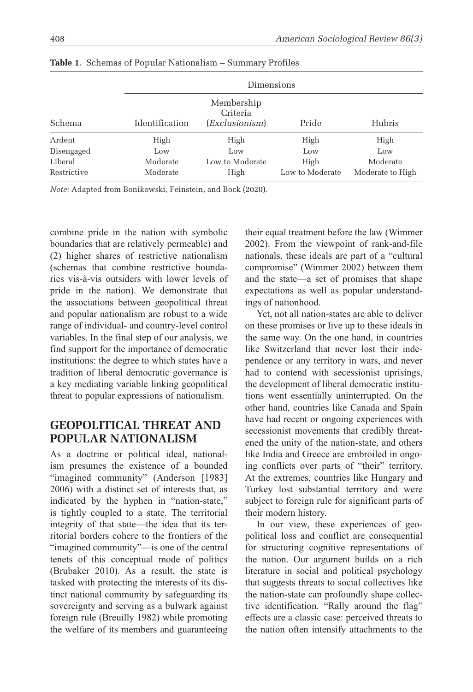|             |                | Dimensions                               |                 |                  |  |  |  |  |
|-------------|----------------|------------------------------------------|-----------------|------------------|--|--|--|--|
| Schema      | Identification | Membership<br>Criteria<br>(Exclusionism) |                 | Hubris           |  |  |  |  |
| Ardent      | High           | High                                     | High            | High             |  |  |  |  |
| Disengaged  | Low            | Low                                      | Low             | Low              |  |  |  |  |
| Liberal     | Moderate       | Low to Moderate                          | High            | Moderate         |  |  |  |  |
| Restrictive | Moderate       | High                                     | Low to Moderate | Moderate to High |  |  |  |  |

**Table 1**. Schemas of Popular Nationalism – Summary Profiles

*Note:* Adapted from Bonikowski, Feinstein, and Bock (2020).

combine pride in the nation with symbolic boundaries that are relatively permeable) and (2) higher shares of restrictive nationalism (schemas that combine restrictive boundaries vis-à-vis outsiders with lower levels of pride in the nation). We demonstrate that the associations between geopolitical threat and popular nationalism are robust to a wide range of individual- and country-level control variables. In the final step of our analysis, we find support for the importance of democratic institutions: the degree to which states have a tradition of liberal democratic governance is a key mediating variable linking geopolitical threat to popular expressions of nationalism.

## **Geopolitical Threat And Popular Nationalism**

As a doctrine or political ideal, nationalism presumes the existence of a bounded "imagined community" (Anderson [1983] 2006) with a distinct set of interests that, as indicated by the hyphen in "nation-state," is tightly coupled to a state. The territorial integrity of that state—the idea that its territorial borders cohere to the frontiers of the "imagined community"—is one of the central tenets of this conceptual mode of politics (Brubaker 2010). As a result, the state is tasked with protecting the interests of its distinct national community by safeguarding its sovereignty and serving as a bulwark against foreign rule (Breuilly 1982) while promoting the welfare of its members and guaranteeing their equal treatment before the law (Wimmer 2002). From the viewpoint of rank-and-file nationals, these ideals are part of a "cultural compromise" (Wimmer 2002) between them and the state—a set of promises that shape expectations as well as popular understandings of nationhood.

Yet, not all nation-states are able to deliver on these promises or live up to these ideals in the same way. On the one hand, in countries like Switzerland that never lost their independence or any territory in wars, and never had to contend with secessionist uprisings, the development of liberal democratic institutions went essentially uninterrupted. On the other hand, countries like Canada and Spain have had recent or ongoing experiences with secessionist movements that credibly threatened the unity of the nation-state, and others like India and Greece are embroiled in ongoing conflicts over parts of "their" territory. At the extremes, countries like Hungary and Turkey lost substantial territory and were subject to foreign rule for significant parts of their modern history.

In our view, these experiences of geopolitical loss and conflict are consequential for structuring cognitive representations of the nation. Our argument builds on a rich literature in social and political psychology that suggests threats to social collectives like the nation-state can profoundly shape collective identification. "Rally around the flag" effects are a classic case: perceived threats to the nation often intensify attachments to the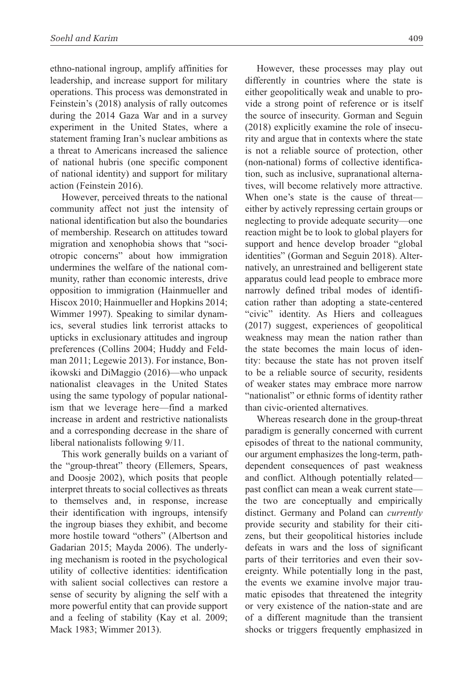ethno-national ingroup, amplify affinities for leadership, and increase support for military operations. This process was demonstrated in Feinstein's (2018) analysis of rally outcomes during the 2014 Gaza War and in a survey experiment in the United States, where a statement framing Iran's nuclear ambitions as a threat to Americans increased the salience of national hubris (one specific component of national identity) and support for military action (Feinstein 2016).

However, perceived threats to the national community affect not just the intensity of national identification but also the boundaries of membership. Research on attitudes toward migration and xenophobia shows that "sociotropic concerns" about how immigration undermines the welfare of the national community, rather than economic interests, drive opposition to immigration (Hainmueller and Hiscox 2010; Hainmueller and Hopkins 2014; Wimmer 1997). Speaking to similar dynamics, several studies link terrorist attacks to upticks in exclusionary attitudes and ingroup preferences (Collins 2004; Huddy and Feldman 2011; Legewie 2013). For instance, Bonikowski and DiMaggio (2016)—who unpack nationalist cleavages in the United States using the same typology of popular nationalism that we leverage here—find a marked increase in ardent and restrictive nationalists and a corresponding decrease in the share of liberal nationalists following 9/11.

This work generally builds on a variant of the "group-threat" theory (Ellemers, Spears, and Doosje 2002), which posits that people interpret threats to social collectives as threats to themselves and, in response, increase their identification with ingroups, intensify the ingroup biases they exhibit, and become more hostile toward "others" (Albertson and Gadarian 2015; Mayda 2006). The underlying mechanism is rooted in the psychological utility of collective identities: identification with salient social collectives can restore a sense of security by aligning the self with a more powerful entity that can provide support and a feeling of stability (Kay et al. 2009; Mack 1983; Wimmer 2013).

However, these processes may play out differently in countries where the state is either geopolitically weak and unable to provide a strong point of reference or is itself the source of insecurity. Gorman and Seguin (2018) explicitly examine the role of insecurity and argue that in contexts where the state is not a reliable source of protection, other (non-national) forms of collective identification, such as inclusive, supranational alternatives, will become relatively more attractive. When one's state is the cause of threat either by actively repressing certain groups or neglecting to provide adequate security—one reaction might be to look to global players for support and hence develop broader "global identities" (Gorman and Seguin 2018). Alternatively, an unrestrained and belligerent state apparatus could lead people to embrace more narrowly defined tribal modes of identification rather than adopting a state-centered "civic" identity. As Hiers and colleagues (2017) suggest, experiences of geopolitical weakness may mean the nation rather than the state becomes the main locus of identity: because the state has not proven itself to be a reliable source of security, residents of weaker states may embrace more narrow "nationalist" or ethnic forms of identity rather than civic-oriented alternatives.

Whereas research done in the group-threat paradigm is generally concerned with current episodes of threat to the national community, our argument emphasizes the long-term, pathdependent consequences of past weakness and conflict. Although potentially related past conflict can mean a weak current state the two are conceptually and empirically distinct. Germany and Poland can *currently* provide security and stability for their citizens, but their geopolitical histories include defeats in wars and the loss of significant parts of their territories and even their sovereignty. While potentially long in the past, the events we examine involve major traumatic episodes that threatened the integrity or very existence of the nation-state and are of a different magnitude than the transient shocks or triggers frequently emphasized in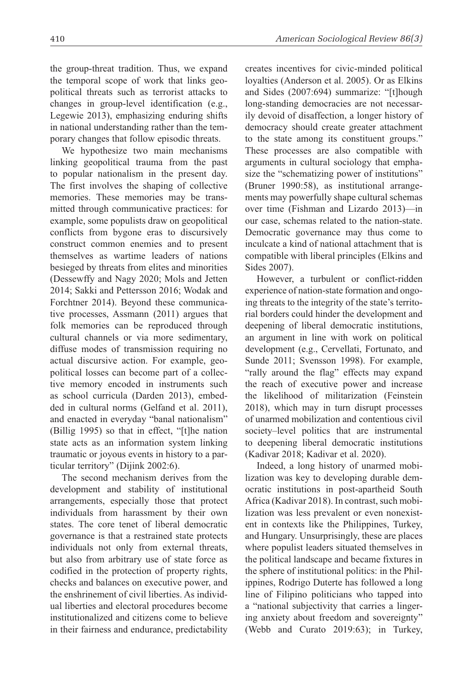the group-threat tradition. Thus, we expand the temporal scope of work that links geopolitical threats such as terrorist attacks to changes in group-level identification (e.g., Legewie 2013), emphasizing enduring shifts in national understanding rather than the temporary changes that follow episodic threats.

We hypothesize two main mechanisms linking geopolitical trauma from the past to popular nationalism in the present day. The first involves the shaping of collective memories. These memories may be transmitted through communicative practices: for example, some populists draw on geopolitical conflicts from bygone eras to discursively construct common enemies and to present themselves as wartime leaders of nations besieged by threats from elites and minorities (Dessewffy and Nagy 2020; Mols and Jetten 2014; Sakki and Pettersson 2016; Wodak and Forchtner 2014). Beyond these communicative processes, Assmann (2011) argues that folk memories can be reproduced through cultural channels or via more sedimentary, diffuse modes of transmission requiring no actual discursive action. For example, geopolitical losses can become part of a collective memory encoded in instruments such as school curricula (Darden 2013), embedded in cultural norms (Gelfand et al. 2011), and enacted in everyday "banal nationalism" (Billig 1995) so that in effect, "[t]he nation state acts as an information system linking traumatic or joyous events in history to a particular territory" (Dijink 2002:6).

The second mechanism derives from the development and stability of institutional arrangements, especially those that protect individuals from harassment by their own states. The core tenet of liberal democratic governance is that a restrained state protects individuals not only from external threats, but also from arbitrary use of state force as codified in the protection of property rights, checks and balances on executive power, and the enshrinement of civil liberties. As individual liberties and electoral procedures become institutionalized and citizens come to believe in their fairness and endurance, predictability creates incentives for civic-minded political loyalties (Anderson et al. 2005). Or as Elkins and Sides (2007:694) summarize: "[t]hough long-standing democracies are not necessarily devoid of disaffection, a longer history of democracy should create greater attachment to the state among its constituent groups." These processes are also compatible with arguments in cultural sociology that emphasize the "schematizing power of institutions" (Bruner 1990:58), as institutional arrangements may powerfully shape cultural schemas over time (Fishman and Lizardo 2013)—in our case, schemas related to the nation-state. Democratic governance may thus come to inculcate a kind of national attachment that is compatible with liberal principles (Elkins and Sides 2007).

However, a turbulent or conflict-ridden experience of nation-state formation and ongoing threats to the integrity of the state's territorial borders could hinder the development and deepening of liberal democratic institutions, an argument in line with work on political development (e.g., Cervellati, Fortunato, and Sunde 2011; Svensson 1998). For example, "rally around the flag" effects may expand the reach of executive power and increase the likelihood of militarization (Feinstein 2018), which may in turn disrupt processes of unarmed mobilization and contentious civil society–level politics that are instrumental to deepening liberal democratic institutions (Kadivar 2018; Kadivar et al. 2020).

Indeed, a long history of unarmed mobilization was key to developing durable democratic institutions in post-apartheid South Africa (Kadivar 2018). In contrast, such mobilization was less prevalent or even nonexistent in contexts like the Philippines, Turkey, and Hungary. Unsurprisingly, these are places where populist leaders situated themselves in the political landscape and became fixtures in the sphere of institutional politics: in the Philippines, Rodrigo Duterte has followed a long line of Filipino politicians who tapped into a "national subjectivity that carries a lingering anxiety about freedom and sovereignty" (Webb and Curato 2019:63); in Turkey,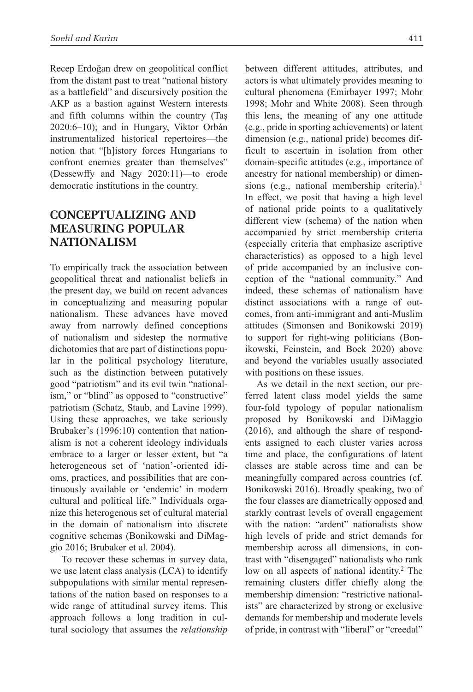Recep Erdoğan drew on geopolitical conflict from the distant past to treat "national history as a battlefield" and discursively position the AKP as a bastion against Western interests and fifth columns within the country (Taş 2020:6–10); and in Hungary, Viktor Orbán instrumentalized historical repertoires—the notion that "[h]istory forces Hungarians to confront enemies greater than themselves" (Dessewffy and Nagy 2020:11)—to erode democratic institutions in the country.

# **Conceptualizing And Measuring Popular Nationalism**

To empirically track the association between geopolitical threat and nationalist beliefs in the present day, we build on recent advances in conceptualizing and measuring popular nationalism. These advances have moved away from narrowly defined conceptions of nationalism and sidestep the normative dichotomies that are part of distinctions popular in the political psychology literature, such as the distinction between putatively good "patriotism" and its evil twin "nationalism," or "blind" as opposed to "constructive" patriotism (Schatz, Staub, and Lavine 1999). Using these approaches, we take seriously Brubaker's (1996:10) contention that nationalism is not a coherent ideology individuals embrace to a larger or lesser extent, but "a heterogeneous set of 'nation'-oriented idioms, practices, and possibilities that are continuously available or 'endemic' in modern cultural and political life." Individuals organize this heterogenous set of cultural material in the domain of nationalism into discrete cognitive schemas (Bonikowski and DiMaggio 2016; Brubaker et al. 2004).

To recover these schemas in survey data, we use latent class analysis (LCA) to identify subpopulations with similar mental representations of the nation based on responses to a wide range of attitudinal survey items. This approach follows a long tradition in cultural sociology that assumes the *relationship* between different attitudes, attributes, and actors is what ultimately provides meaning to cultural phenomena (Emirbayer 1997; Mohr 1998; Mohr and White 2008). Seen through this lens, the meaning of any one attitude (e.g., pride in sporting achievements) or latent dimension (e.g., national pride) becomes difficult to ascertain in isolation from other domain-specific attitudes (e.g., importance of ancestry for national membership) or dimensions (e.g., national membership criteria).<sup>1</sup> In effect, we posit that having a high level of national pride points to a qualitatively different view (schema) of the nation when accompanied by strict membership criteria (especially criteria that emphasize ascriptive characteristics) as opposed to a high level of pride accompanied by an inclusive conception of the "national community." And indeed, these schemas of nationalism have distinct associations with a range of outcomes, from anti-immigrant and anti-Muslim attitudes (Simonsen and Bonikowski 2019) to support for right-wing politicians (Bonikowski, Feinstein, and Bock 2020) above and beyond the variables usually associated with positions on these issues.

As we detail in the next section, our preferred latent class model yields the same four-fold typology of popular nationalism proposed by Bonikowski and DiMaggio (2016), and although the share of respondents assigned to each cluster varies across time and place, the configurations of latent classes are stable across time and can be meaningfully compared across countries (cf. Bonikowski 2016). Broadly speaking, two of the four classes are diametrically opposed and starkly contrast levels of overall engagement with the nation: "ardent" nationalists show high levels of pride and strict demands for membership across all dimensions, in contrast with "disengaged" nationalists who rank low on all aspects of national identity.<sup>2</sup> The remaining clusters differ chiefly along the membership dimension: "restrictive nationalists" are characterized by strong or exclusive demands for membership and moderate levels of pride, in contrast with "liberal" or "creedal"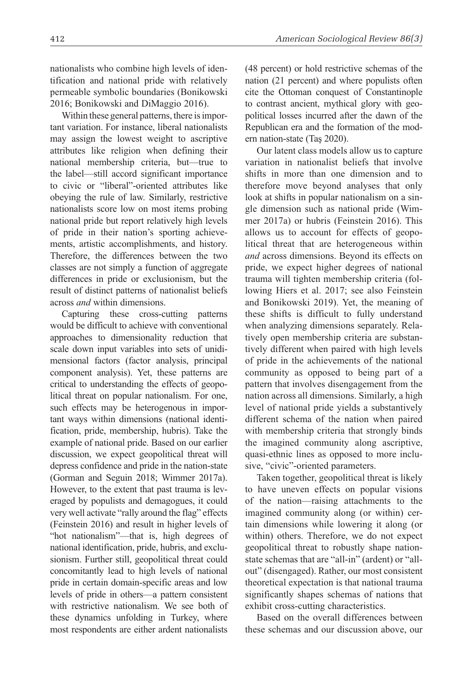nationalists who combine high levels of identification and national pride with relatively permeable symbolic boundaries (Bonikowski 2016; Bonikowski and DiMaggio 2016).

Within these general patterns, there is important variation. For instance, liberal nationalists may assign the lowest weight to ascriptive attributes like religion when defining their national membership criteria, but—true to the label—still accord significant importance to civic or "liberal"-oriented attributes like obeying the rule of law. Similarly, restrictive nationalists score low on most items probing national pride but report relatively high levels of pride in their nation's sporting achievements, artistic accomplishments, and history. Therefore, the differences between the two classes are not simply a function of aggregate differences in pride or exclusionism, but the result of distinct patterns of nationalist beliefs across *and* within dimensions.

Capturing these cross-cutting patterns would be difficult to achieve with conventional approaches to dimensionality reduction that scale down input variables into sets of unidimensional factors (factor analysis, principal component analysis). Yet, these patterns are critical to understanding the effects of geopolitical threat on popular nationalism. For one, such effects may be heterogenous in important ways within dimensions (national identification, pride, membership, hubris). Take the example of national pride. Based on our earlier discussion, we expect geopolitical threat will depress confidence and pride in the nation-state (Gorman and Seguin 2018; Wimmer 2017a). However, to the extent that past trauma is leveraged by populists and demagogues, it could very well activate "rally around the flag" effects (Feinstein 2016) and result in higher levels of "hot nationalism"—that is, high degrees of national identification, pride, hubris, and exclusionism. Further still, geopolitical threat could concomitantly lead to high levels of national pride in certain domain-specific areas and low levels of pride in others—a pattern consistent with restrictive nationalism. We see both of these dynamics unfolding in Turkey, where most respondents are either ardent nationalists

(48 percent) or hold restrictive schemas of the nation (21 percent) and where populists often cite the Ottoman conquest of Constantinople to contrast ancient, mythical glory with geopolitical losses incurred after the dawn of the Republican era and the formation of the modern nation-state (Taş 2020).

Our latent class models allow us to capture variation in nationalist beliefs that involve shifts in more than one dimension and to therefore move beyond analyses that only look at shifts in popular nationalism on a single dimension such as national pride (Wimmer 2017a) or hubris (Feinstein 2016). This allows us to account for effects of geopolitical threat that are heterogeneous within *and* across dimensions. Beyond its effects on pride, we expect higher degrees of national trauma will tighten membership criteria (following Hiers et al. 2017; see also Feinstein and Bonikowski 2019). Yet, the meaning of these shifts is difficult to fully understand when analyzing dimensions separately. Relatively open membership criteria are substantively different when paired with high levels of pride in the achievements of the national community as opposed to being part of a pattern that involves disengagement from the nation across all dimensions. Similarly, a high level of national pride yields a substantively different schema of the nation when paired with membership criteria that strongly binds the imagined community along ascriptive, quasi-ethnic lines as opposed to more inclusive, "civic"-oriented parameters.

Taken together, geopolitical threat is likely to have uneven effects on popular visions of the nation—raising attachments to the imagined community along (or within) certain dimensions while lowering it along (or within) others. Therefore, we do not expect geopolitical threat to robustly shape nationstate schemas that are "all-in" (ardent) or "allout" (disengaged). Rather, our most consistent theoretical expectation is that national trauma significantly shapes schemas of nations that exhibit cross-cutting characteristics.

Based on the overall differences between these schemas and our discussion above, our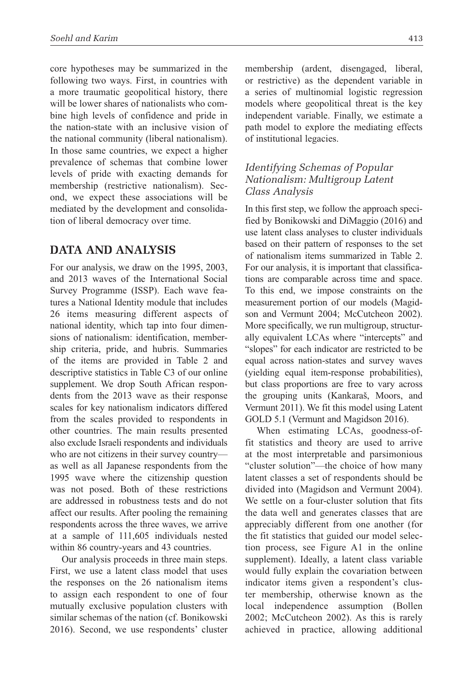core hypotheses may be summarized in the following two ways. First, in countries with a more traumatic geopolitical history, there will be lower shares of nationalists who combine high levels of confidence and pride in the nation-state with an inclusive vision of the national community (liberal nationalism). In those same countries, we expect a higher prevalence of schemas that combine lower levels of pride with exacting demands for membership (restrictive nationalism). Second, we expect these associations will be mediated by the development and consolidation of liberal democracy over time.

## **Data And Analysis**

For our analysis, we draw on the 1995, 2003, and 2013 waves of the International Social Survey Programme (ISSP). Each wave features a National Identity module that includes 26 items measuring different aspects of national identity, which tap into four dimensions of nationalism: identification, membership criteria, pride, and hubris. Summaries of the items are provided in Table 2 and descriptive statistics in Table C3 of our online supplement. We drop South African respondents from the 2013 wave as their response scales for key nationalism indicators differed from the scales provided to respondents in other countries. The main results presented also exclude Israeli respondents and individuals who are not citizens in their survey country as well as all Japanese respondents from the 1995 wave where the citizenship question was not posed. Both of these restrictions are addressed in robustness tests and do not affect our results. After pooling the remaining respondents across the three waves, we arrive at a sample of 111,605 individuals nested within 86 country-years and 43 countries.

Our analysis proceeds in three main steps. First, we use a latent class model that uses the responses on the 26 nationalism items to assign each respondent to one of four mutually exclusive population clusters with similar schemas of the nation (cf. Bonikowski 2016). Second, we use respondents' cluster membership (ardent, disengaged, liberal, or restrictive) as the dependent variable in a series of multinomial logistic regression models where geopolitical threat is the key independent variable. Finally, we estimate a path model to explore the mediating effects of institutional legacies.

## *Identifying Schemas of Popular Nationalism: Multigroup Latent Class Analysis*

In this first step, we follow the approach specified by Bonikowski and DiMaggio (2016) and use latent class analyses to cluster individuals based on their pattern of responses to the set of nationalism items summarized in Table 2. For our analysis, it is important that classifications are comparable across time and space. To this end, we impose constraints on the measurement portion of our models (Magidson and Vermunt 2004; McCutcheon 2002). More specifically, we run multigroup, structurally equivalent LCAs where "intercepts" and "slopes" for each indicator are restricted to be equal across nation-states and survey waves (yielding equal item-response probabilities), but class proportions are free to vary across the grouping units (Kankaraš, Moors, and Vermunt 2011). We fit this model using Latent GOLD 5.1 (Vermunt and Magidson 2016).

When estimating LCAs, goodness-offit statistics and theory are used to arrive at the most interpretable and parsimonious "cluster solution"—the choice of how many latent classes a set of respondents should be divided into (Magidson and Vermunt 2004). We settle on a four-cluster solution that fits the data well and generates classes that are appreciably different from one another (for the fit statistics that guided our model selection process, see Figure A1 in the online supplement). Ideally, a latent class variable would fully explain the covariation between indicator items given a respondent's cluster membership, otherwise known as the local independence assumption (Bollen 2002; McCutcheon 2002). As this is rarely achieved in practice, allowing additional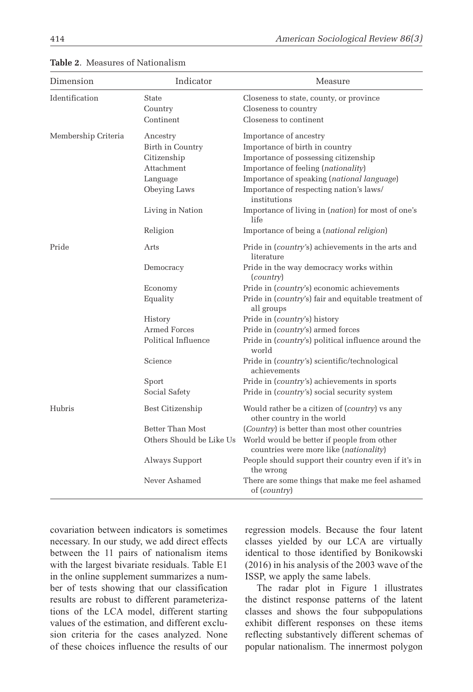| Dimension           | Indicator                | Measure                                                                              |
|---------------------|--------------------------|--------------------------------------------------------------------------------------|
| Identification      | State                    | Closeness to state, county, or province                                              |
|                     | Country                  | Closeness to country                                                                 |
|                     | Continent                | Closeness to continent                                                               |
| Membership Criteria | Ancestry                 | Importance of ancestry                                                               |
|                     | Birth in Country         | Importance of birth in country                                                       |
|                     | Citizenship              | Importance of possessing citizenship                                                 |
|                     | Attachment               | Importance of feeling (nationality)                                                  |
|                     | Language                 | Importance of speaking (national language)                                           |
|                     | Obeying Laws             | Importance of respecting nation's laws/<br>institutions                              |
|                     | Living in Nation         | Importance of living in (nation) for most of one's<br>life                           |
|                     | Religion                 | Importance of being a (national religion)                                            |
| Pride               | Arts                     | Pride in ( <i>country's</i> ) achievements in the arts and<br>literature             |
|                     | Democracy                | Pride in the way democracy works within<br>( <i>country</i> )                        |
|                     | Economy                  | Pride in (country's) economic achievements                                           |
|                     | Equality                 | Pride in (country's) fair and equitable treatment of<br>all groups                   |
|                     | History                  | Pride in ( <i>country's</i> ) history                                                |
|                     | <b>Armed Forces</b>      | Pride in (country's) armed forces                                                    |
|                     | Political Influence      | Pride in (country's) political influence around the<br>world                         |
|                     | Science                  | Pride in (country's) scientific/technological<br>achievements                        |
|                     | Sport                    | Pride in ( <i>country's</i> ) achievements in sports                                 |
|                     | Social Safety            | Pride in ( <i>country's</i> ) social security system                                 |
| Hubris              | Best Citizenship         | Would rather be a citizen of (country) vs any<br>other country in the world          |
|                     | Better Than Most         | (Country) is better than most other countries                                        |
|                     | Others Should be Like Us | World would be better if people from other<br>countries were more like (nationality) |
|                     | Always Support           | People should support their country even if it's in<br>the wrong                     |
|                     | Never Ashamed            | There are some things that make me feel ashamed<br>of ( <i>country</i> )             |

**Table 2**. Measures of Nationalism

covariation between indicators is sometimes necessary. In our study, we add direct effects between the 11 pairs of nationalism items with the largest bivariate residuals. Table E1 in the online supplement summarizes a number of tests showing that our classification results are robust to different parameterizations of the LCA model, different starting values of the estimation, and different exclusion criteria for the cases analyzed. None of these choices influence the results of our regression models. Because the four latent classes yielded by our LCA are virtually identical to those identified by Bonikowski (2016) in his analysis of the 2003 wave of the ISSP, we apply the same labels.

The radar plot in Figure 1 illustrates the distinct response patterns of the latent classes and shows the four subpopulations exhibit different responses on these items reflecting substantively different schemas of popular nationalism. The innermost polygon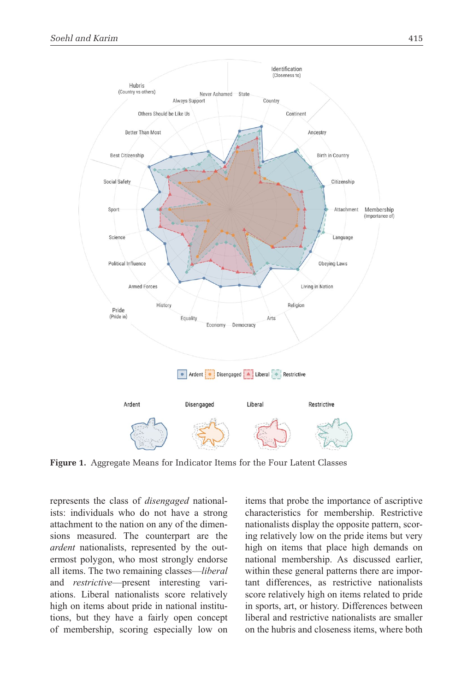

**Figure 1.** Aggregate Means for Indicator Items for the Four Latent Classes

represents the class of *disengaged* nationalists: individuals who do not have a strong attachment to the nation on any of the dimensions measured. The counterpart are the *ardent* nationalists, represented by the outermost polygon, who most strongly endorse all items. The two remaining classes—*liberal* and *restrictive*—present interesting variations. Liberal nationalists score relatively high on items about pride in national institutions, but they have a fairly open concept of membership, scoring especially low on items that probe the importance of ascriptive characteristics for membership. Restrictive nationalists display the opposite pattern, scoring relatively low on the pride items but very high on items that place high demands on national membership. As discussed earlier, within these general patterns there are important differences, as restrictive nationalists score relatively high on items related to pride in sports, art, or history. Differences between liberal and restrictive nationalists are smaller on the hubris and closeness items, where both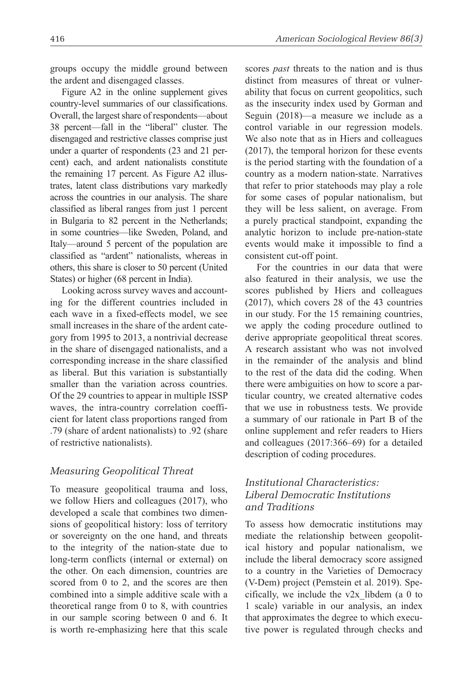groups occupy the middle ground between the ardent and disengaged classes.

Figure A2 in the online supplement gives country-level summaries of our classifications. Overall, the largest share of respondents—about 38 percent—fall in the "liberal" cluster. The disengaged and restrictive classes comprise just under a quarter of respondents (23 and 21 percent) each, and ardent nationalists constitute the remaining 17 percent. As Figure A2 illustrates, latent class distributions vary markedly across the countries in our analysis. The share classified as liberal ranges from just 1 percent in Bulgaria to 82 percent in the Netherlands; in some countries—like Sweden, Poland, and Italy—around 5 percent of the population are classified as "ardent" nationalists, whereas in others, this share is closer to 50 percent (United States) or higher (68 percent in India).

Looking across survey waves and accounting for the different countries included in each wave in a fixed-effects model, we see small increases in the share of the ardent category from 1995 to 2013, a nontrivial decrease in the share of disengaged nationalists, and a corresponding increase in the share classified as liberal. But this variation is substantially smaller than the variation across countries. Of the 29 countries to appear in multiple ISSP waves, the intra-country correlation coefficient for latent class proportions ranged from .79 (share of ardent nationalists) to .92 (share of restrictive nationalists).

#### *Measuring Geopolitical Threat*

To measure geopolitical trauma and loss, we follow Hiers and colleagues (2017), who developed a scale that combines two dimensions of geopolitical history: loss of territory or sovereignty on the one hand, and threats to the integrity of the nation-state due to long-term conflicts (internal or external) on the other. On each dimension, countries are scored from 0 to 2, and the scores are then combined into a simple additive scale with a theoretical range from 0 to 8, with countries in our sample scoring between 0 and 6. It is worth re-emphasizing here that this scale scores *past* threats to the nation and is thus distinct from measures of threat or vulnerability that focus on current geopolitics, such as the insecurity index used by Gorman and Seguin (2018)—a measure we include as a control variable in our regression models. We also note that as in Hiers and colleagues (2017), the temporal horizon for these events is the period starting with the foundation of a country as a modern nation-state. Narratives that refer to prior statehoods may play a role for some cases of popular nationalism, but they will be less salient, on average. From a purely practical standpoint, expanding the analytic horizon to include pre-nation-state events would make it impossible to find a consistent cut-off point.

For the countries in our data that were also featured in their analysis, we use the scores published by Hiers and colleagues (2017), which covers 28 of the 43 countries in our study. For the 15 remaining countries, we apply the coding procedure outlined to derive appropriate geopolitical threat scores. A research assistant who was not involved in the remainder of the analysis and blind to the rest of the data did the coding. When there were ambiguities on how to score a particular country, we created alternative codes that we use in robustness tests. We provide a summary of our rationale in Part B of the online supplement and refer readers to Hiers and colleagues (2017:366–69) for a detailed description of coding procedures.

## *Institutional Characteristics: Liberal Democratic Institutions and Traditions*

To assess how democratic institutions may mediate the relationship between geopolitical history and popular nationalism, we include the liberal democracy score assigned to a country in the Varieties of Democracy (V-Dem) project (Pemstein et al. 2019). Specifically, we include the v2x\_libdem (a 0 to 1 scale) variable in our analysis, an index that approximates the degree to which executive power is regulated through checks and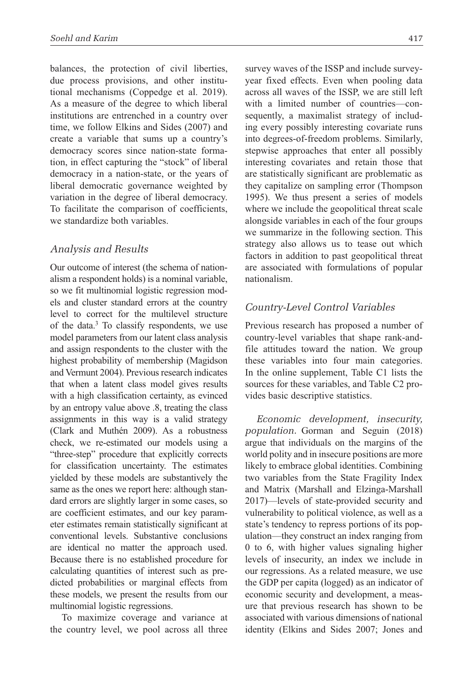balances, the protection of civil liberties, due process provisions, and other institutional mechanisms (Coppedge et al. 2019). As a measure of the degree to which liberal institutions are entrenched in a country over time, we follow Elkins and Sides (2007) and create a variable that sums up a country's democracy scores since nation-state formation, in effect capturing the "stock" of liberal democracy in a nation-state, or the years of liberal democratic governance weighted by variation in the degree of liberal democracy. To facilitate the comparison of coefficients, we standardize both variables.

### *Analysis and Results*

Our outcome of interest (the schema of nationalism a respondent holds) is a nominal variable, so we fit multinomial logistic regression models and cluster standard errors at the country level to correct for the multilevel structure of the data.3 To classify respondents, we use model parameters from our latent class analysis and assign respondents to the cluster with the highest probability of membership (Magidson and Vermunt 2004). Previous research indicates that when a latent class model gives results with a high classification certainty, as evinced by an entropy value above .8, treating the class assignments in this way is a valid strategy (Clark and Muthén 2009). As a robustness check, we re-estimated our models using a "three-step" procedure that explicitly corrects for classification uncertainty. The estimates yielded by these models are substantively the same as the ones we report here: although standard errors are slightly larger in some cases, so are coefficient estimates, and our key parameter estimates remain statistically significant at conventional levels. Substantive conclusions are identical no matter the approach used. Because there is no established procedure for calculating quantities of interest such as predicted probabilities or marginal effects from these models, we present the results from our multinomial logistic regressions.

To maximize coverage and variance at the country level, we pool across all three survey waves of the ISSP and include surveyyear fixed effects. Even when pooling data across all waves of the ISSP, we are still left with a limited number of countries—consequently, a maximalist strategy of including every possibly interesting covariate runs into degrees-of-freedom problems. Similarly, stepwise approaches that enter all possibly interesting covariates and retain those that are statistically significant are problematic as they capitalize on sampling error (Thompson 1995). We thus present a series of models where we include the geopolitical threat scale alongside variables in each of the four groups we summarize in the following section. This strategy also allows us to tease out which factors in addition to past geopolitical threat are associated with formulations of popular nationalism.

## *Country-Level Control Variables*

Previous research has proposed a number of country-level variables that shape rank-andfile attitudes toward the nation. We group these variables into four main categories. In the online supplement, Table C1 lists the sources for these variables, and Table C2 provides basic descriptive statistics.

*Economic development, insecurity, population.* Gorman and Seguin (2018) argue that individuals on the margins of the world polity and in insecure positions are more likely to embrace global identities. Combining two variables from the State Fragility Index and Matrix (Marshall and Elzinga-Marshall 2017)—levels of state-provided security and vulnerability to political violence, as well as a state's tendency to repress portions of its population—they construct an index ranging from 0 to 6, with higher values signaling higher levels of insecurity, an index we include in our regressions. As a related measure, we use the GDP per capita (logged) as an indicator of economic security and development, a measure that previous research has shown to be associated with various dimensions of national identity (Elkins and Sides 2007; Jones and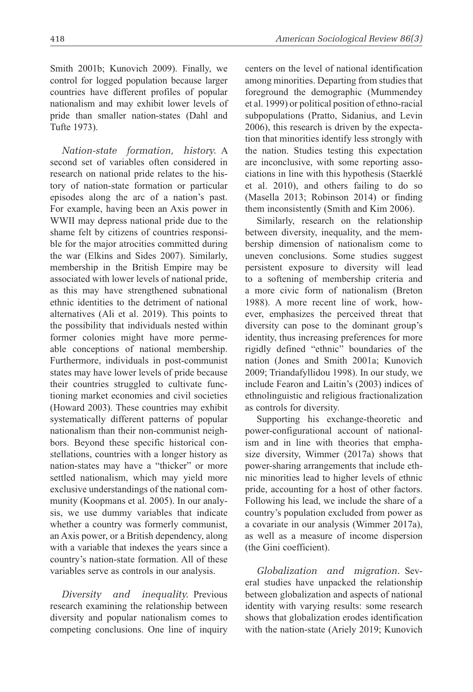Smith 2001b; Kunovich 2009). Finally, we control for logged population because larger countries have different profiles of popular nationalism and may exhibit lower levels of pride than smaller nation-states (Dahl and Tufte 1973).

*Nation-state formation, history.* A second set of variables often considered in research on national pride relates to the history of nation-state formation or particular episodes along the arc of a nation's past. For example, having been an Axis power in WWII may depress national pride due to the shame felt by citizens of countries responsible for the major atrocities committed during the war (Elkins and Sides 2007). Similarly, membership in the British Empire may be associated with lower levels of national pride, as this may have strengthened subnational ethnic identities to the detriment of national alternatives (Ali et al. 2019). This points to the possibility that individuals nested within former colonies might have more permeable conceptions of national membership. Furthermore, individuals in post-communist states may have lower levels of pride because their countries struggled to cultivate functioning market economies and civil societies (Howard 2003). These countries may exhibit systematically different patterns of popular nationalism than their non-communist neighbors. Beyond these specific historical constellations, countries with a longer history as nation-states may have a "thicker" or more settled nationalism, which may yield more exclusive understandings of the national community (Koopmans et al. 2005). In our analysis, we use dummy variables that indicate whether a country was formerly communist, an Axis power, or a British dependency, along with a variable that indexes the years since a country's nation-state formation. All of these variables serve as controls in our analysis.

*Diversity and inequality.* Previous research examining the relationship between diversity and popular nationalism comes to competing conclusions. One line of inquiry centers on the level of national identification among minorities. Departing from studies that foreground the demographic (Mummendey et al. 1999) or political position of ethno-racial subpopulations (Pratto, Sidanius, and Levin 2006), this research is driven by the expectation that minorities identify less strongly with the nation. Studies testing this expectation are inconclusive, with some reporting associations in line with this hypothesis (Staerklé et al. 2010), and others failing to do so (Masella 2013; Robinson 2014) or finding them inconsistently (Smith and Kim 2006).

Similarly, research on the relationship between diversity, inequality, and the membership dimension of nationalism come to uneven conclusions. Some studies suggest persistent exposure to diversity will lead to a softening of membership criteria and a more civic form of nationalism (Breton 1988). A more recent line of work, however, emphasizes the perceived threat that diversity can pose to the dominant group's identity, thus increasing preferences for more rigidly defined "ethnic" boundaries of the nation (Jones and Smith 2001a; Kunovich 2009; Triandafyllidou 1998). In our study, we include Fearon and Laitin's (2003) indices of ethnolinguistic and religious fractionalization as controls for diversity.

Supporting his exchange-theoretic and power-configurational account of nationalism and in line with theories that emphasize diversity, Wimmer (2017a) shows that power-sharing arrangements that include ethnic minorities lead to higher levels of ethnic pride, accounting for a host of other factors. Following his lead, we include the share of a country's population excluded from power as a covariate in our analysis (Wimmer 2017a), as well as a measure of income dispersion (the Gini coefficient).

*Globalization and migration.* Several studies have unpacked the relationship between globalization and aspects of national identity with varying results: some research shows that globalization erodes identification with the nation-state (Ariely 2019; Kunovich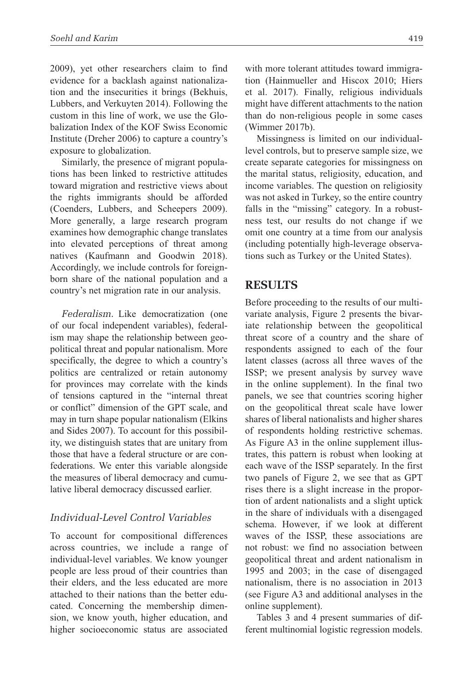2009), yet other researchers claim to find evidence for a backlash against nationalization and the insecurities it brings (Bekhuis, Lubbers, and Verkuyten 2014). Following the custom in this line of work, we use the Globalization Index of the KOF Swiss Economic Institute (Dreher 2006) to capture a country's exposure to globalization.

Similarly, the presence of migrant populations has been linked to restrictive attitudes toward migration and restrictive views about the rights immigrants should be afforded (Coenders, Lubbers, and Scheepers 2009). More generally, a large research program examines how demographic change translates into elevated perceptions of threat among natives (Kaufmann and Goodwin 2018). Accordingly, we include controls for foreignborn share of the national population and a country's net migration rate in our analysis.

*Federalism.* Like democratization (one of our focal independent variables), federalism may shape the relationship between geopolitical threat and popular nationalism. More specifically, the degree to which a country's politics are centralized or retain autonomy for provinces may correlate with the kinds of tensions captured in the "internal threat or conflict" dimension of the GPT scale, and may in turn shape popular nationalism (Elkins and Sides 2007). To account for this possibility, we distinguish states that are unitary from those that have a federal structure or are confederations. We enter this variable alongside the measures of liberal democracy and cumulative liberal democracy discussed earlier.

## *Individual-Level Control Variables*

To account for compositional differences across countries, we include a range of individual-level variables. We know younger people are less proud of their countries than their elders, and the less educated are more attached to their nations than the better educated. Concerning the membership dimension, we know youth, higher education, and higher socioeconomic status are associated

with more tolerant attitudes toward immigration (Hainmueller and Hiscox 2010; Hiers et al. 2017). Finally, religious individuals might have different attachments to the nation than do non-religious people in some cases (Wimmer 2017b).

Missingness is limited on our individuallevel controls, but to preserve sample size, we create separate categories for missingness on the marital status, religiosity, education, and income variables. The question on religiosity was not asked in Turkey, so the entire country falls in the "missing" category. In a robustness test, our results do not change if we omit one country at a time from our analysis (including potentially high-leverage observations such as Turkey or the United States).

## **Results**

Before proceeding to the results of our multivariate analysis, Figure 2 presents the bivariate relationship between the geopolitical threat score of a country and the share of respondents assigned to each of the four latent classes (across all three waves of the ISSP; we present analysis by survey wave in the online supplement). In the final two panels, we see that countries scoring higher on the geopolitical threat scale have lower shares of liberal nationalists and higher shares of respondents holding restrictive schemas. As Figure A3 in the online supplement illustrates, this pattern is robust when looking at each wave of the ISSP separately. In the first two panels of Figure 2, we see that as GPT rises there is a slight increase in the proportion of ardent nationalists and a slight uptick in the share of individuals with a disengaged schema. However, if we look at different waves of the ISSP, these associations are not robust: we find no association between geopolitical threat and ardent nationalism in 1995 and 2003; in the case of disengaged nationalism, there is no association in 2013 (see Figure A3 and additional analyses in the online supplement).

Tables 3 and 4 present summaries of different multinomial logistic regression models.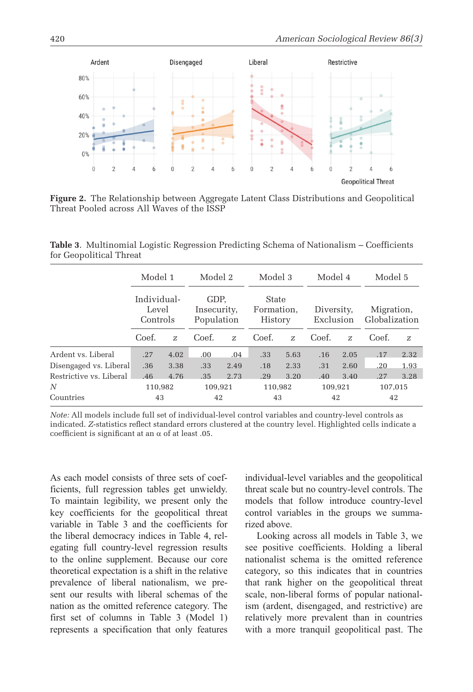

**Figure 2.** The Relationship between Aggregate Latent Class Distributions and Geopolitical Threat Pooled across All Waves of the ISSP

**Table 3**. Multinomial Logistic Regression Predicting Schema of Nationalism – Coefficients for Geopolitical Threat

|                         | Model 1<br>Individual-<br>Level<br>Controls |      | Model 2<br>GDP.<br>Insecurity,<br>Population |      | Model 3<br>State<br>Formation.<br>History |      | Model 4<br>Diversity.<br>Exclusion |      | Model 5<br>Migration,<br>Globalization |      |
|-------------------------|---------------------------------------------|------|----------------------------------------------|------|-------------------------------------------|------|------------------------------------|------|----------------------------------------|------|
|                         |                                             |      |                                              |      |                                           |      |                                    |      |                                        |      |
|                         | Coef.                                       | Z    | Coef.                                        | Z.   | Coef.                                     | Z    | Coef.                              | Z    | Coef.                                  | Z    |
| Ardent vs. Liberal      | .27                                         | 4.02 | 00.                                          | .04  | .33                                       | 5.63 | .16                                | 2.05 | .17                                    | 2.32 |
| Disengaged vs. Liberal  | .36                                         | 3.38 | .33                                          | 2.49 | .18                                       | 2.33 | .31                                | 2.60 | .20                                    | 1.93 |
| Restrictive vs. Liberal | .46                                         | 4.76 | .35                                          | 2.73 | .29                                       | 3.20 | .40                                | 3.40 | .27                                    | 3.28 |
| N                       | 110,982                                     |      | 109,921                                      |      | 110,982                                   |      | 109,921                            |      | 107,015                                |      |
| Countries               | 43                                          |      | 42                                           |      | 43                                        |      | 42                                 |      | 42                                     |      |

*Note:* All models include full set of individual-level control variables and country-level controls as indicated. *Z*-statistics reflect standard errors clustered at the country level. Highlighted cells indicate a coefficient is significant at an  $\alpha$  of at least .05.

As each model consists of three sets of coefficients, full regression tables get unwieldy. To maintain legibility, we present only the key coefficients for the geopolitical threat variable in Table 3 and the coefficients for the liberal democracy indices in Table 4, relegating full country-level regression results to the online supplement. Because our core theoretical expectation is a shift in the relative prevalence of liberal nationalism, we present our results with liberal schemas of the nation as the omitted reference category. The first set of columns in Table 3 (Model 1) represents a specification that only features

individual-level variables and the geopolitical threat scale but no country-level controls. The models that follow introduce country-level control variables in the groups we summarized above.

Looking across all models in Table 3, we see positive coefficients. Holding a liberal nationalist schema is the omitted reference category, so this indicates that in countries that rank higher on the geopolitical threat scale, non-liberal forms of popular nationalism (ardent, disengaged, and restrictive) are relatively more prevalent than in countries with a more tranquil geopolitical past. The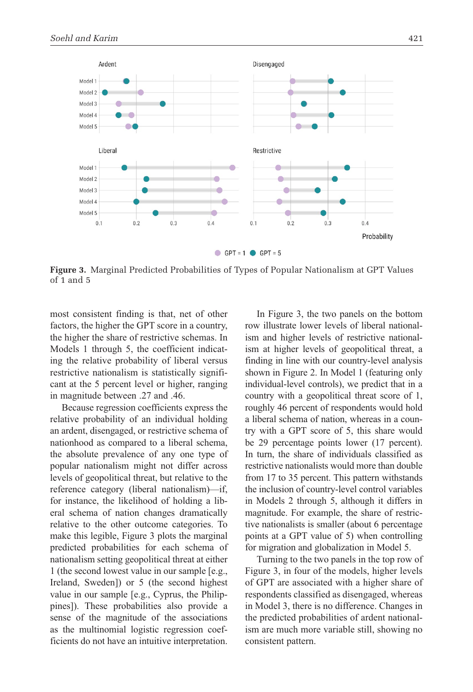

**Figure 3.** Marginal Predicted Probabilities of Types of Popular Nationalism at GPT Values of 1 and 5

most consistent finding is that, net of other factors, the higher the GPT score in a country, the higher the share of restrictive schemas. In Models 1 through 5, the coefficient indicating the relative probability of liberal versus restrictive nationalism is statistically significant at the 5 percent level or higher, ranging in magnitude between .27 and .46.

Because regression coefficients express the relative probability of an individual holding an ardent, disengaged, or restrictive schema of nationhood as compared to a liberal schema, the absolute prevalence of any one type of popular nationalism might not differ across levels of geopolitical threat, but relative to the reference category (liberal nationalism)—if, for instance, the likelihood of holding a liberal schema of nation changes dramatically relative to the other outcome categories. To make this legible, Figure 3 plots the marginal predicted probabilities for each schema of nationalism setting geopolitical threat at either 1 (the second lowest value in our sample [e.g., Ireland, Sweden]) or 5 (the second highest value in our sample [e.g., Cyprus, the Philippines]). These probabilities also provide a sense of the magnitude of the associations as the multinomial logistic regression coefficients do not have an intuitive interpretation.

In Figure 3, the two panels on the bottom row illustrate lower levels of liberal nationalism and higher levels of restrictive nationalism at higher levels of geopolitical threat, a finding in line with our country-level analysis shown in Figure 2. In Model 1 (featuring only individual-level controls), we predict that in a country with a geopolitical threat score of 1, roughly 46 percent of respondents would hold a liberal schema of nation, whereas in a country with a GPT score of 5, this share would be 29 percentage points lower (17 percent). In turn, the share of individuals classified as restrictive nationalists would more than double from 17 to 35 percent. This pattern withstands the inclusion of country-level control variables in Models 2 through 5, although it differs in magnitude. For example, the share of restrictive nationalists is smaller (about 6 percentage points at a GPT value of 5) when controlling for migration and globalization in Model 5.

Turning to the two panels in the top row of Figure 3, in four of the models, higher levels of GPT are associated with a higher share of respondents classified as disengaged, whereas in Model 3, there is no difference. Changes in the predicted probabilities of ardent nationalism are much more variable still, showing no consistent pattern.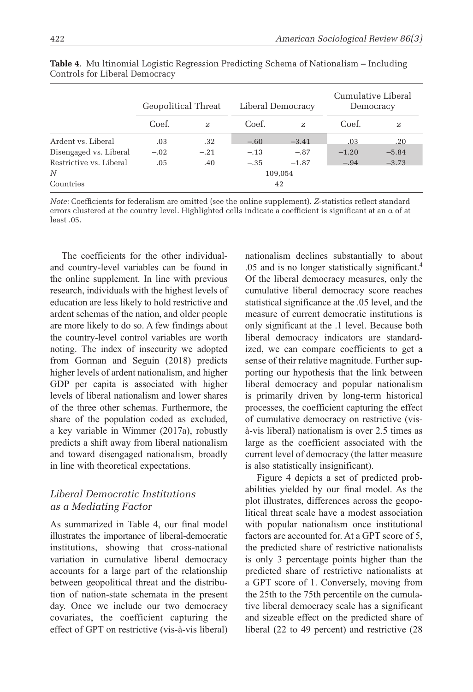|                         | Geopolitical Threat |        | Liberal Democracy |         | Cumulative Liberal<br>Democracy |         |  |
|-------------------------|---------------------|--------|-------------------|---------|---------------------------------|---------|--|
|                         | Coef.               | Z      | Coef.             | Z       | Coef.                           | Ζ       |  |
| Ardent vs. Liberal      | .03                 | .32    | $-.60$            | $-3.41$ | .03                             | .20     |  |
| Disengaged vs. Liberal  | $-.02$              | $-.21$ | $-.13$            | $-.87$  | $-1.20$                         | $-5.84$ |  |
| Restrictive vs. Liberal | .05                 | .40    | $-.35$            | $-1.87$ | $-.94$                          | $-3.73$ |  |
| N                       | 109,054             |        |                   |         |                                 |         |  |
| Countries               | 42                  |        |                   |         |                                 |         |  |

**Table 4**. Mu ltinomial Logistic Regression Predicting Schema of Nationalism – Including Controls for Liberal Democracy

*Note:* Coefficients for federalism are omitted (see the online supplement). *Z*-statistics reflect standard errors clustered at the country level. Highlighted cells indicate a coefficient is significant at an  $\alpha$  of at least .05.

The coefficients for the other individualand country-level variables can be found in the online supplement. In line with previous research, individuals with the highest levels of education are less likely to hold restrictive and ardent schemas of the nation, and older people are more likely to do so. A few findings about the country-level control variables are worth noting. The index of insecurity we adopted from Gorman and Seguin (2018) predicts higher levels of ardent nationalism, and higher GDP per capita is associated with higher levels of liberal nationalism and lower shares of the three other schemas. Furthermore, the share of the population coded as excluded, a key variable in Wimmer (2017a), robustly predicts a shift away from liberal nationalism and toward disengaged nationalism, broadly in line with theoretical expectations.

### *Liberal Democratic Institutions as a Mediating Factor*

As summarized in Table 4, our final model illustrates the importance of liberal-democratic institutions, showing that cross-national variation in cumulative liberal democracy accounts for a large part of the relationship between geopolitical threat and the distribution of nation-state schemata in the present day. Once we include our two democracy covariates, the coefficient capturing the effect of GPT on restrictive (vis-à-vis liberal) nationalism declines substantially to about .05 and is no longer statistically significant.4 Of the liberal democracy measures, only the cumulative liberal democracy score reaches statistical significance at the .05 level, and the measure of current democratic institutions is only significant at the .1 level. Because both liberal democracy indicators are standardized, we can compare coefficients to get a sense of their relative magnitude. Further supporting our hypothesis that the link between liberal democracy and popular nationalism is primarily driven by long-term historical processes, the coefficient capturing the effect of cumulative democracy on restrictive (visà-vis liberal) nationalism is over 2.5 times as large as the coefficient associated with the current level of democracy (the latter measure is also statistically insignificant).

Figure 4 depicts a set of predicted probabilities yielded by our final model. As the plot illustrates, differences across the geopolitical threat scale have a modest association with popular nationalism once institutional factors are accounted for. At a GPT score of 5, the predicted share of restrictive nationalists is only 3 percentage points higher than the predicted share of restrictive nationalists at a GPT score of 1. Conversely, moving from the 25th to the 75th percentile on the cumulative liberal democracy scale has a significant and sizeable effect on the predicted share of liberal (22 to 49 percent) and restrictive (28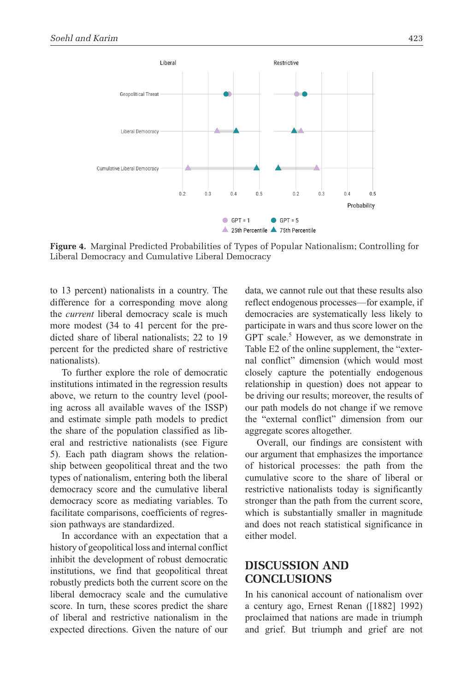

**Figure 4.** Marginal Predicted Probabilities of Types of Popular Nationalism; Controlling for Liberal Democracy and Cumulative Liberal Democracy

to 13 percent) nationalists in a country. The difference for a corresponding move along the *current* liberal democracy scale is much more modest (34 to 41 percent for the predicted share of liberal nationalists; 22 to 19 percent for the predicted share of restrictive nationalists).

To further explore the role of democratic institutions intimated in the regression results above, we return to the country level (pooling across all available waves of the ISSP) and estimate simple path models to predict the share of the population classified as liberal and restrictive nationalists (see Figure 5). Each path diagram shows the relationship between geopolitical threat and the two types of nationalism, entering both the liberal democracy score and the cumulative liberal democracy score as mediating variables. To facilitate comparisons, coefficients of regression pathways are standardized.

In accordance with an expectation that a history of geopolitical loss and internal conflict inhibit the development of robust democratic institutions, we find that geopolitical threat robustly predicts both the current score on the liberal democracy scale and the cumulative score. In turn, these scores predict the share of liberal and restrictive nationalism in the expected directions. Given the nature of our data, we cannot rule out that these results also reflect endogenous processes—for example, if democracies are systematically less likely to participate in wars and thus score lower on the GPT scale.<sup>5</sup> However, as we demonstrate in Table E2 of the online supplement, the "external conflict" dimension (which would most closely capture the potentially endogenous relationship in question) does not appear to be driving our results; moreover, the results of our path models do not change if we remove the "external conflict" dimension from our aggregate scores altogether.

Overall, our findings are consistent with our argument that emphasizes the importance of historical processes: the path from the cumulative score to the share of liberal or restrictive nationalists today is significantly stronger than the path from the current score, which is substantially smaller in magnitude and does not reach statistical significance in either model.

# **Discussion And Conclusions**

In his canonical account of nationalism over a century ago, Ernest Renan ([1882] 1992) proclaimed that nations are made in triumph and grief. But triumph and grief are not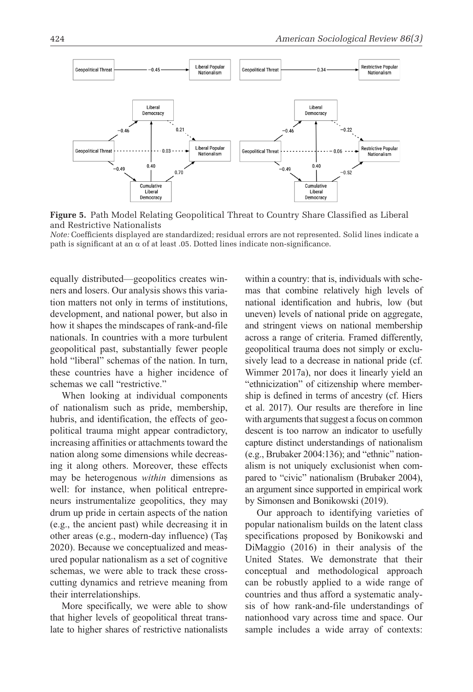

**Figure 5.** Path Model Relating Geopolitical Threat to Country Share Classified as Liberal and Restrictive Nationalists

*Note:* Coefficients displayed are standardized; residual errors are not represented. Solid lines indicate a path is significant at an  $\alpha$  of at least .05. Dotted lines indicate non-significance.

equally distributed—geopolitics creates winners and losers. Our analysis shows this variation matters not only in terms of institutions, development, and national power, but also in how it shapes the mindscapes of rank-and-file nationals. In countries with a more turbulent geopolitical past, substantially fewer people hold "liberal" schemas of the nation. In turn, these countries have a higher incidence of schemas we call "restrictive."

When looking at individual components of nationalism such as pride, membership, hubris, and identification, the effects of geopolitical trauma might appear contradictory, increasing affinities or attachments toward the nation along some dimensions while decreasing it along others. Moreover, these effects may be heterogenous *within* dimensions as well: for instance, when political entrepreneurs instrumentalize geopolitics, they may drum up pride in certain aspects of the nation (e.g., the ancient past) while decreasing it in other areas (e.g., modern-day influence) (Taş 2020). Because we conceptualized and measured popular nationalism as a set of cognitive schemas, we were able to track these crosscutting dynamics and retrieve meaning from their interrelationships.

More specifically, we were able to show that higher levels of geopolitical threat translate to higher shares of restrictive nationalists within a country: that is, individuals with schemas that combine relatively high levels of national identification and hubris, low (but uneven) levels of national pride on aggregate, and stringent views on national membership across a range of criteria. Framed differently, geopolitical trauma does not simply or exclusively lead to a decrease in national pride (cf. Wimmer 2017a), nor does it linearly yield an "ethnicization" of citizenship where membership is defined in terms of ancestry (cf. Hiers et al. 2017). Our results are therefore in line with arguments that suggest a focus on common descent is too narrow an indicator to usefully capture distinct understandings of nationalism (e.g., Brubaker 2004:136); and "ethnic" nationalism is not uniquely exclusionist when compared to "civic" nationalism (Brubaker 2004), an argument since supported in empirical work by Simonsen and Bonikowski (2019).

Our approach to identifying varieties of popular nationalism builds on the latent class specifications proposed by Bonikowski and DiMaggio (2016) in their analysis of the United States. We demonstrate that their conceptual and methodological approach can be robustly applied to a wide range of countries and thus afford a systematic analysis of how rank-and-file understandings of nationhood vary across time and space. Our sample includes a wide array of contexts: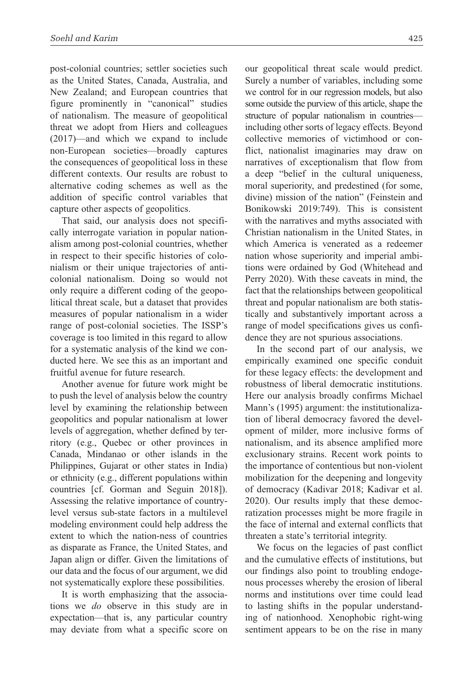post-colonial countries; settler societies such as the United States, Canada, Australia, and New Zealand; and European countries that figure prominently in "canonical" studies of nationalism. The measure of geopolitical threat we adopt from Hiers and colleagues (2017)—and which we expand to include non-European societies—broadly captures the consequences of geopolitical loss in these different contexts. Our results are robust to alternative coding schemes as well as the addition of specific control variables that capture other aspects of geopolitics.

That said, our analysis does not specifically interrogate variation in popular nationalism among post-colonial countries, whether in respect to their specific histories of colonialism or their unique trajectories of anticolonial nationalism. Doing so would not only require a different coding of the geopolitical threat scale, but a dataset that provides measures of popular nationalism in a wider range of post-colonial societies. The ISSP's coverage is too limited in this regard to allow for a systematic analysis of the kind we conducted here. We see this as an important and fruitful avenue for future research.

Another avenue for future work might be to push the level of analysis below the country level by examining the relationship between geopolitics and popular nationalism at lower levels of aggregation, whether defined by territory (e.g., Quebec or other provinces in Canada, Mindanao or other islands in the Philippines, Gujarat or other states in India) or ethnicity (e.g., different populations within countries [cf. Gorman and Seguin 2018]). Assessing the relative importance of countrylevel versus sub-state factors in a multilevel modeling environment could help address the extent to which the nation-ness of countries as disparate as France, the United States, and Japan align or differ. Given the limitations of our data and the focus of our argument, we did not systematically explore these possibilities.

It is worth emphasizing that the associations we *do* observe in this study are in expectation—that is, any particular country may deviate from what a specific score on our geopolitical threat scale would predict. Surely a number of variables, including some we control for in our regression models, but also some outside the purview of this article, shape the structure of popular nationalism in countries including other sorts of legacy effects. Beyond collective memories of victimhood or conflict, nationalist imaginaries may draw on narratives of exceptionalism that flow from a deep "belief in the cultural uniqueness, moral superiority, and predestined (for some, divine) mission of the nation" (Feinstein and Bonikowski 2019:749). This is consistent with the narratives and myths associated with Christian nationalism in the United States, in which America is venerated as a redeemer nation whose superiority and imperial ambitions were ordained by God (Whitehead and Perry 2020). With these caveats in mind, the fact that the relationships between geopolitical threat and popular nationalism are both statistically and substantively important across a range of model specifications gives us confidence they are not spurious associations.

In the second part of our analysis, we empirically examined one specific conduit for these legacy effects: the development and robustness of liberal democratic institutions. Here our analysis broadly confirms Michael Mann's (1995) argument: the institutionalization of liberal democracy favored the development of milder, more inclusive forms of nationalism, and its absence amplified more exclusionary strains. Recent work points to the importance of contentious but non-violent mobilization for the deepening and longevity of democracy (Kadivar 2018; Kadivar et al. 2020). Our results imply that these democratization processes might be more fragile in the face of internal and external conflicts that threaten a state's territorial integrity.

We focus on the legacies of past conflict and the cumulative effects of institutions, but our findings also point to troubling endogenous processes whereby the erosion of liberal norms and institutions over time could lead to lasting shifts in the popular understanding of nationhood. Xenophobic right-wing sentiment appears to be on the rise in many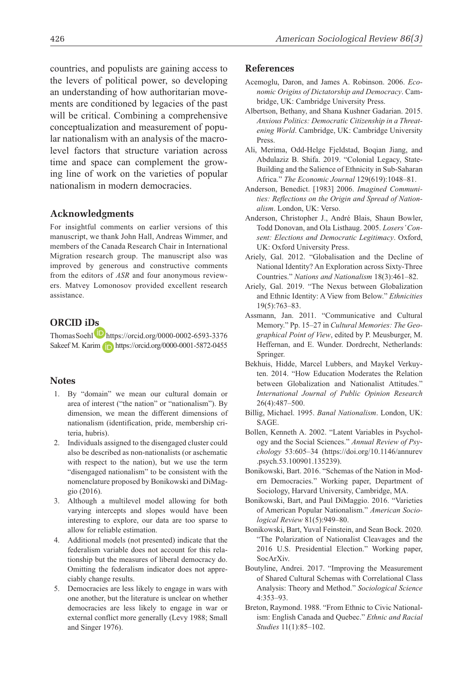countries, and populists are gaining access to the levers of political power, so developing an understanding of how authoritarian movements are conditioned by legacies of the past will be critical. Combining a comprehensive conceptualization and measurement of popular nationalism with an analysis of the macrolevel factors that structure variation across time and space can complement the growing line of work on the varieties of popular nationalism in modern democracies.

#### **Acknowledgments**

For insightful comments on earlier versions of this manuscript, we thank John Hall, Andreas Wimmer, and members of the Canada Research Chair in International Migration research group. The manuscript also was improved by generous and constructive comments from the editors of *ASR* and four anonymous reviewers. Matvey Lomonosov provided excellent research assistance.

#### **ORCID iDs**

Thomas Soehl https://orcid.org/0000-0002-6593-3376 Sakeef M. Karim **https://orcid.org/0000-0001-5872-0455** 

#### **Notes**

- 1. By "domain" we mean our cultural domain or area of interest ("the nation" or "nationalism"). By dimension, we mean the different dimensions of nationalism (identification, pride, membership criteria, hubris).
- 2. Individuals assigned to the disengaged cluster could also be described as non-nationalists (or aschematic with respect to the nation), but we use the term "disengaged nationalism" to be consistent with the nomenclature proposed by Bonikowski and DiMaggio (2016).
- 3. Although a multilevel model allowing for both varying intercepts and slopes would have been interesting to explore, our data are too sparse to allow for reliable estimation.
- 4. Additional models (not presented) indicate that the federalism variable does not account for this relationship but the measures of liberal democracy do. Omitting the federalism indicator does not appreciably change results.
- 5. Democracies are less likely to engage in wars with one another, but the literature is unclear on whether democracies are less likely to engage in war or external conflict more generally (Levy 1988; Small and Singer 1976).

#### **References**

- Acemoglu, Daron, and James A. Robinson. 2006. *Economic Origins of Dictatorship and Democracy*. Cambridge, UK: Cambridge University Press.
- Albertson, Bethany, and Shana Kushner Gadarian. 2015. *Anxious Politics: Democratic Citizenship in a Threatening World*. Cambridge, UK: Cambridge University Press.
- Ali, Merima, Odd-Helge Fjeldstad, Boqian Jiang, and Abdulaziz B. Shifa. 2019. "Colonial Legacy, State-Building and the Salience of Ethnicity in Sub-Saharan Africa." *The Economic Journal* 129(619):1048–81.
- Anderson, Benedict. [1983] 2006. *Imagined Communities: Reflections on the Origin and Spread of Nationalism*. London, UK: Verso.
- Anderson, Christopher J., André Blais, Shaun Bowler, Todd Donovan, and Ola Listhaug. 2005. *Losers' Consent: Elections and Democratic Legitimacy*. Oxford, UK: Oxford University Press.
- Ariely, Gal. 2012. "Globalisation and the Decline of National Identity? An Exploration across Sixty-Three Countries." *Nations and Nationalism* 18(3):461–82.
- Ariely, Gal. 2019. "The Nexus between Globalization and Ethnic Identity: A View from Below." *Ethnicities* 19(5):763–83.
- Assmann, Jan. 2011. "Communicative and Cultural Memory." Pp. 15–27 in *Cultural Memories: The Geographical Point of View*, edited by P. Meusburger, M. Heffernan, and E. Wunder. Dordrecht, Netherlands: Springer.
- Bekhuis, Hidde, Marcel Lubbers, and Maykel Verkuyten. 2014. "How Education Moderates the Relation between Globalization and Nationalist Attitudes." *International Journal of Public Opinion Research* 26(4):487–500.
- Billig, Michael. 1995. *Banal Nationalism*. London, UK: **SAGE**
- Bollen, Kenneth A. 2002. "Latent Variables in Psychology and the Social Sciences." *Annual Review of Psychology* 53:605–34 (https://doi.org/10.1146/annurev .psych.53.100901.135239).
- Bonikowski, Bart. 2016. "Schemas of the Nation in Modern Democracies." Working paper, Department of Sociology, Harvard University, Cambridge, MA.
- Bonikowski, Bart, and Paul DiMaggio. 2016. "Varieties of American Popular Nationalism." *American Sociological Review* 81(5):949–80.
- Bonikowski, Bart, Yuval Feinstein, and Sean Bock. 2020. "The Polarization of Nationalist Cleavages and the 2016 U.S. Presidential Election." Working paper, SocArXiv.
- Boutyline, Andrei. 2017. "Improving the Measurement of Shared Cultural Schemas with Correlational Class Analysis: Theory and Method." *Sociological Science* 4:353–93.
- Breton, Raymond. 1988. "From Ethnic to Civic Nationalism: English Canada and Quebec." *Ethnic and Racial Studies* 11(1):85–102.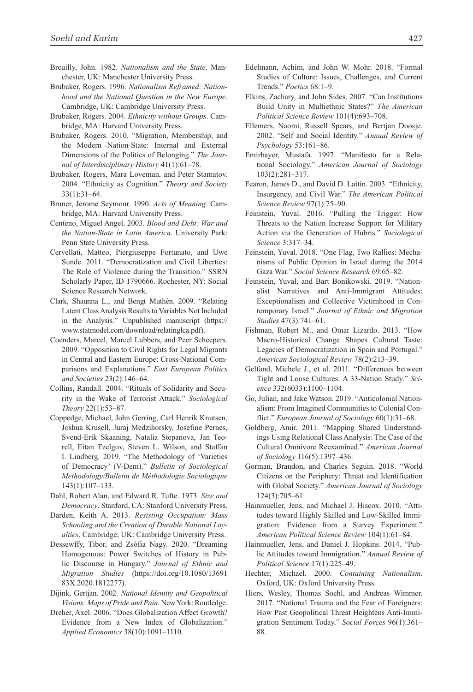- Breuilly, John. 1982. *Nationalism and the State*. Manchester, UK: Manchester University Press.
- Brubaker, Rogers. 1996. *Nationalism Reframed: Nationhood and the National Question in the New Europe*. Cambridge, UK: Cambridge University Press.
- Brubaker, Rogers. 2004. *Ethnicity without Groups*. Cambridge, MA: Harvard University Press.
- Brubaker, Rogers. 2010. "Migration, Membership, and the Modern Nation-State: Internal and External Dimensions of the Politics of Belonging." *The Journal of Interdisciplinary History* 41(1):61–78.
- Brubaker, Rogers, Mara Loveman, and Peter Stamatov. 2004. "Ethnicity as Cognition." *Theory and Society* 33(1):31–64.
- Bruner, Jerome Seymour. 1990. *Acts of Meaning*. Cambridge, MA: Harvard University Press.
- Centeno, Miguel Angel. 2003. *Blood and Debt: War and the Nation-State in Latin America*. University Park: Penn State University Press.
- Cervellati, Matteo, Piergiuseppe Fortunato, and Uwe Sunde. 2011. "Democratization and Civil Liberties: The Role of Violence during the Transition." SSRN Scholarly Paper, ID 1790666. Rochester, NY: Social Science Research Network.
- Clark, Shaunna L., and Bengt Muthén. 2009. "Relating Latent Class Analysis Results to Variables Not Included in the Analysis." Unpublished manuscript (https:// www.statmodel.com/download/relatinglca.pdf).
- Coenders, Marcel, Marcel Lubbers, and Peer Scheepers. 2009. "Opposition to Civil Rights for Legal Migrants in Central and Eastern Europe: Cross-National Comparisons and Explanations." *East European Politics and Societies* 23(2):146–64.
- Collins, Randall. 2004. "Rituals of Solidarity and Security in the Wake of Terrorist Attack." *Sociological Theory* 22(1):53–87.
- Coppedge, Michael, John Gerring, Carl Henrik Knutsen, Joshua Krusell, Juraj Medzihorsky, Josefine Pernes, Svend-Erik Skaaning, Natalia Stepanova, Jan Teorell, Eitan Tzelgov, Steven L. Wilson, and Staffan I. Lindberg. 2019. "The Methodology of 'Varieties of Democracy' (V-Dem)." *Bulletin of Sociological Methodology/Bulletin de Méthodologie Sociologique* 143(1):107–133.
- Dahl, Robert Alan, and Edward R. Tufte. 1973. *Size and Democracy*. Stanford, CA: Stanford University Press.
- Darden, Keith A. 2013. *Resisting Occupation: Mass Schooling and the Creation of Durable National Loyalties*. Cambridge, UK: Cambridge University Press.
- Dessewffy, Tibor, and Zsófia Nagy. 2020. "Dreaming Homogenous: Power Switches of History in Public Discourse in Hungary." *Journal of Ethnic and Migration Studies* (https://doi.org/10.1080/13691 83X.2020.1812277).
- Dijink, Gertjan. 2002. *National Identity and Geopolitical Visions: Maps of Pride and Pain*. New York: Routledge.
- Dreher, Axel. 2006. "Does Globalization Affect Growth? Evidence from a New Index of Globalization." *Applied Economics* 38(10):1091–1110.
- Edelmann, Achim, and John W. Mohr. 2018. "Formal Studies of Culture: Issues, Challenges, and Current Trends." *Poetics* 68:1–9.
- Elkins, Zachary, and John Sides. 2007. "Can Institutions Build Unity in Multiethnic States?" *The American Political Science Review* 101(4):693–708.
- Ellemers, Naomi, Russell Spears, and Bertjan Doosje. 2002. "Self and Social Identity." *Annual Review of Psychology* 53:161–86.
- Emirbayer, Mustafa. 1997. "Manifesto for a Relational Sociology." *American Journal of Sociology* 103(2):281–317.
- Fearon, James D., and David D. Laitin. 2003. "Ethnicity, Insurgency, and Civil War." *The American Political Science Review* 97(1):75–90.
- Feinstein, Yuval. 2016. "Pulling the Trigger: How Threats to the Nation Increase Support for Military Action via the Generation of Hubris." *Sociological Science* 3:317–34.
- Feinstein, Yuval. 2018. "One Flag, Two Rallies: Mechanisms of Public Opinion in Israel during the 2014 Gaza War." *Social Science Research* 69:65–82.
- Feinstein, Yuval, and Bart Bonikowski. 2019. "Nationalist Narratives and Anti-Immigrant Attitudes: Exceptionalism and Collective Victimhood in Contemporary Israel." *Journal of Ethnic and Migration Studies* 47(3):741–61.
- Fishman, Robert M., and Omar Lizardo. 2013. "How Macro-Historical Change Shapes Cultural Taste: Legacies of Democratization in Spain and Portugal." *American Sociological Review* 78(2):213–39.
- Gelfand, Michele J., et al. 2011. "Differences between Tight and Loose Cultures: A 33-Nation Study." *Science* 332(6033):1100–1104.
- Go, Julian, and Jake Watson. 2019. "Anticolonial Nationalism: From Imagined Communities to Colonial Conflict." *European Journal of Sociology* 60(1):31–68.
- Goldberg, Amir. 2011. "Mapping Shared Understandings Using Relational Class Analysis: The Case of the Cultural Omnivore Reexamined." *American Journal of Sociology* 116(5):1397–436.
- Gorman, Brandon, and Charles Seguin. 2018. "World Citizens on the Periphery: Threat and Identification with Global Society." *American Journal of Sociology* 124(3):705–61.
- Hainmueller, Jens, and Michael J. Hiscox. 2010. "Attitudes toward Highly Skilled and Low-Skilled Immigration: Evidence from a Survey Experiment." *American Political Science Review* 104(1):61–84.
- Hainmueller, Jens, and Daniel J. Hopkins. 2014. "Public Attitudes toward Immigration." *Annual Review of Political Science* 17(1):225–49.
- Hechter, Michael. 2000. *Containing Nationalism*. Oxford, UK: Oxford University Press.
- Hiers, Wesley, Thomas Soehl, and Andreas Wimmer. 2017. "National Trauma and the Fear of Foreigners: How Past Geopolitical Threat Heightens Anti-Immigration Sentiment Today." *Social Forces* 96(1):361– 88.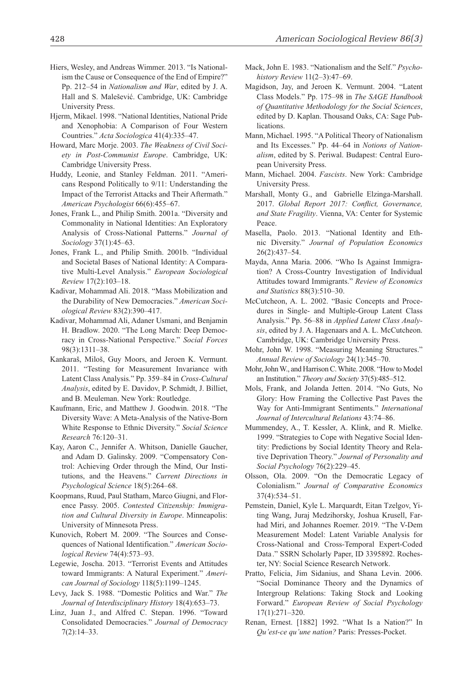- Hiers, Wesley, and Andreas Wimmer. 2013. "Is Nationalism the Cause or Consequence of the End of Empire?" Pp. 212–54 in *Nationalism and War*, edited by J. A. Hall and S. Malešević. Cambridge, UK: Cambridge University Press.
- Hjerm, Mikael. 1998. "National Identities, National Pride and Xenophobia: A Comparison of Four Western Countries." *Acta Sociologica* 41(4):335–47.
- Howard, Marc Morje. 2003. *The Weakness of Civil Society in Post-Communist Europe*. Cambridge, UK: Cambridge University Press.
- Huddy, Leonie, and Stanley Feldman. 2011. "Americans Respond Politically to 9/11: Understanding the Impact of the Terrorist Attacks and Their Aftermath." *American Psychologist* 66(6):455–67.
- Jones, Frank L., and Philip Smith. 2001a. "Diversity and Commonality in National Identities: An Exploratory Analysis of Cross-National Patterns." *Journal of Sociology* 37(1):45–63.
- Jones, Frank L., and Philip Smith. 2001b. "Individual and Societal Bases of National Identity: A Comparative Multi-Level Analysis." *European Sociological Review* 17(2):103–18.
- Kadivar, Mohammad Ali. 2018. "Mass Mobilization and the Durability of New Democracies." *American Sociological Review* 83(2):390–417.
- Kadivar, Mohammad Ali, Adaner Usmani, and Benjamin H. Bradlow. 2020. "The Long March: Deep Democracy in Cross-National Perspective." *Social Forces* 98(3):1311–38.
- Kankaraš, Miloš, Guy Moors, and Jeroen K. Vermunt. 2011. "Testing for Measurement Invariance with Latent Class Analysis." Pp. 359–84 in *Cross-Cultural Analysis*, edited by E. Davidov, P. Schmidt, J. Billiet, and B. Meuleman. New York: Routledge.
- Kaufmann, Eric, and Matthew J. Goodwin. 2018. "The Diversity Wave: A Meta-Analysis of the Native-Born White Response to Ethnic Diversity." *Social Science Research* 76:120–31.
- Kay, Aaron C., Jennifer A. Whitson, Danielle Gaucher, and Adam D. Galinsky. 2009. "Compensatory Control: Achieving Order through the Mind, Our Institutions, and the Heavens." *Current Directions in Psychological Science* 18(5):264–68.
- Koopmans, Ruud, Paul Statham, Marco Giugni, and Florence Passy. 2005. *Contested Citizenship: Immigration and Cultural Diversity in Europe*. Minneapolis: University of Minnesota Press.
- Kunovich, Robert M. 2009. "The Sources and Consequences of National Identification." *American Sociological Review* 74(4):573–93.
- Legewie, Joscha. 2013. "Terrorist Events and Attitudes toward Immigrants: A Natural Experiment." *American Journal of Sociology* 118(5):1199–1245.
- Levy, Jack S. 1988. "Domestic Politics and War." *The Journal of Interdisciplinary History* 18(4):653–73.
- Linz, Juan J., and Alfred C. Stepan. 1996. "Toward Consolidated Democracies." *Journal of Democracy* 7(2):14–33.
- Mack, John E. 1983. "Nationalism and the Self." *Psychohistory Review* 11(2–3):47–69.
- Magidson, Jay, and Jeroen K. Vermunt. 2004. "Latent Class Models." Pp. 175–98 in *The SAGE Handbook of Quantitative Methodology for the Social Sciences*, edited by D. Kaplan. Thousand Oaks, CA: Sage Publications.
- Mann, Michael. 1995. "A Political Theory of Nationalism and Its Excesses." Pp. 44–64 in *Notions of Nationalism*, edited by S. Periwal. Budapest: Central European University Press.
- Mann, Michael. 2004. *Fascists*. New York: Cambridge University Press.
- Marshall, Monty G., and Gabrielle Elzinga-Marshall. 2017. *Global Report 2017: Conflict, Governance, and State Fragility*. Vienna, VA: Center for Systemic Peace.
- Masella, Paolo. 2013. "National Identity and Ethnic Diversity." *Journal of Population Economics* 26(2):437–54.
- Mayda, Anna Maria. 2006. "Who Is Against Immigration? A Cross-Country Investigation of Individual Attitudes toward Immigrants." *Review of Economics and Statistics* 88(3):510–30.
- McCutcheon, A. L. 2002. "Basic Concepts and Procedures in Single- and Multiple-Group Latent Class Analysis." Pp. 56–88 in *Applied Latent Class Analysis*, edited by J. A. Hagenaars and A. L. McCutcheon. Cambridge, UK: Cambridge University Press.
- Mohr, John W. 1998. "Measuring Meaning Structures." *Annual Review of Sociology* 24(1):345–70.
- Mohr, John W., and Harrison C. White. 2008. "How to Model an Institution." *Theory and Society* 37(5):485–512.
- Mols, Frank, and Jolanda Jetten. 2014. "No Guts, No Glory: How Framing the Collective Past Paves the Way for Anti-Immigrant Sentiments." *International Journal of Intercultural Relations* 43:74–86.
- Mummendey, A., T. Kessler, A. Klink, and R. Mielke. 1999. "Strategies to Cope with Negative Social Identity: Predictions by Social Identity Theory and Relative Deprivation Theory." *Journal of Personality and Social Psychology* 76(2):229–45.
- Olsson, Ola. 2009. "On the Democratic Legacy of Colonialism." *Journal of Comparative Economics* 37(4):534–51.
- Pemstein, Daniel, Kyle L. Marquardt, Eitan Tzelgov, Yiting Wang, Juraj Medzihorsky, Joshua Krusell, Farhad Miri, and Johannes Roemer. 2019. "The V-Dem Measurement Model: Latent Variable Analysis for Cross-National and Cross-Temporal Expert-Coded Data ." SSRN Scholarly Paper, ID 3395892. Rochester, NY: Social Science Research Network.
- Pratto, Felicia, Jim Sidanius, and Shana Levin. 2006. "Social Dominance Theory and the Dynamics of Intergroup Relations: Taking Stock and Looking Forward." *European Review of Social Psychology* 17(1):271–320.
- Renan, Ernest. [1882] 1992. "What Is a Nation?" In *Qu'est-ce qu'une nation?* Paris: Presses-Pocket.